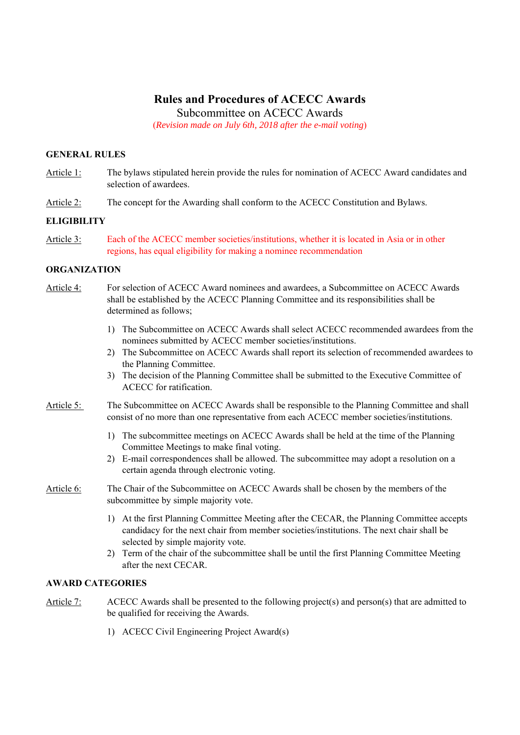# **Rules and Procedures of ACECC Awards**

Subcommittee on ACECC Awards

(*Revision made on July 6th, 2018 after the e-mail voting*)

### **GENERAL RULES**

- Article 1: The bylaws stipulated herein provide the rules for nomination of ACECC Award candidates and selection of awardees.
- Article 2: The concept for the Awarding shall conform to the ACECC Constitution and Bylaws.

### **ELIGIBILITY**

Article 3: Each of the ACECC member societies/institutions, whether it is located in Asia or in other regions, has equal eligibility for making a nominee recommendation

### **ORGANIZATION**

- Article 4: For selection of ACECC Award nominees and awardees, a Subcommittee on ACECC Awards shall be established by the ACECC Planning Committee and its responsibilities shall be determined as follows;
	- 1) The Subcommittee on ACECC Awards shall select ACECC recommended awardees from the nominees submitted by ACECC member societies/institutions.
	- 2) The Subcommittee on ACECC Awards shall report its selection of recommended awardees to the Planning Committee.
	- 3) The decision of the Planning Committee shall be submitted to the Executive Committee of ACECC for ratification.
- Article 5: The Subcommittee on ACECC Awards shall be responsible to the Planning Committee and shall consist of no more than one representative from each ACECC member societies/institutions.
	- 1) The subcommittee meetings on ACECC Awards shall be held at the time of the Planning Committee Meetings to make final voting.
	- 2) E-mail correspondences shall be allowed. The subcommittee may adopt a resolution on a certain agenda through electronic voting.

### Article 6: The Chair of the Subcommittee on ACECC Awards shall be chosen by the members of the subcommittee by simple majority vote.

- 1) At the first Planning Committee Meeting after the CECAR, the Planning Committee accepts candidacy for the next chair from member societies/institutions. The next chair shall be selected by simple majority vote.
- 2) Term of the chair of the subcommittee shall be until the first Planning Committee Meeting after the next CECAR.

### **AWARD CATEGORIES**

- Article 7: ACECC Awards shall be presented to the following project(s) and person(s) that are admitted to be qualified for receiving the Awards.
	- 1) ACECC Civil Engineering Project Award(s)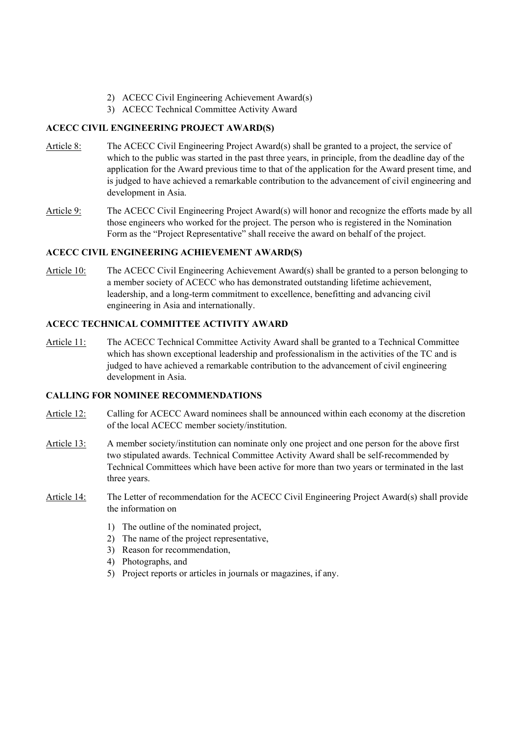- 2) ACECC Civil Engineering Achievement Award(s)
- 3) ACECC Technical Committee Activity Award

### **ACECC CIVIL ENGINEERING PROJECT AWARD(S)**

- Article 8: The ACECC Civil Engineering Project Award(s) shall be granted to a project, the service of which to the public was started in the past three years, in principle, from the deadline day of the application for the Award previous time to that of the application for the Award present time, and is judged to have achieved a remarkable contribution to the advancement of civil engineering and development in Asia.
- Article 9: The ACECC Civil Engineering Project Award(s) will honor and recognize the efforts made by all those engineers who worked for the project. The person who is registered in the Nomination Form as the "Project Representative" shall receive the award on behalf of the project.

### **ACECC CIVIL ENGINEERING ACHIEVEMENT AWARD(S)**

Article 10: The ACECC Civil Engineering Achievement Award(s) shall be granted to a person belonging to a member society of ACECC who has demonstrated outstanding lifetime achievement, leadership, and a long-term commitment to excellence, benefitting and advancing civil engineering in Asia and internationally.

### **ACECC TECHNICAL COMMITTEE ACTIVITY AWARD**

Article 11: The ACECC Technical Committee Activity Award shall be granted to a Technical Committee which has shown exceptional leadership and professionalism in the activities of the TC and is judged to have achieved a remarkable contribution to the advancement of civil engineering development in Asia.

### **CALLING FOR NOMINEE RECOMMENDATIONS**

- Article 12: Calling for ACECC Award nominees shall be announced within each economy at the discretion of the local ACECC member society/institution.
- Article 13: A member society/institution can nominate only one project and one person for the above first two stipulated awards. Technical Committee Activity Award shall be self-recommended by Technical Committees which have been active for more than two years or terminated in the last three years.
- Article 14: The Letter of recommendation for the ACECC Civil Engineering Project Award(s) shall provide the information on
	- 1) The outline of the nominated project,
	- 2) The name of the project representative,
	- 3) Reason for recommendation,
	- 4) Photographs, and
	- 5) Project reports or articles in journals or magazines, if any.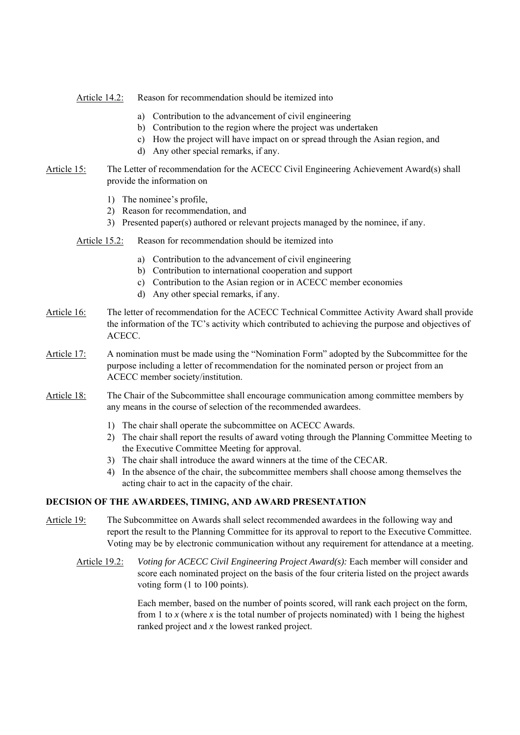Article 14.2: Reason for recommendation should be itemized into

- a) Contribution to the advancement of civil engineering
- b) Contribution to the region where the project was undertaken
- c) How the project will have impact on or spread through the Asian region, and
- d) Any other special remarks, if any.
- Article 15: The Letter of recommendation for the ACECC Civil Engineering Achievement Award(s) shall provide the information on
	- 1) The nominee's profile,
	- 2) Reason for recommendation, and
	- 3) Presented paper(s) authored or relevant projects managed by the nominee, if any.
	- Article 15.2: Reason for recommendation should be itemized into
		- a) Contribution to the advancement of civil engineering
		- b) Contribution to international cooperation and support
		- c) Contribution to the Asian region or in ACECC member economies
		- d) Any other special remarks, if any.
- Article 16: The letter of recommendation for the ACECC Technical Committee Activity Award shall provide the information of the TC's activity which contributed to achieving the purpose and objectives of ACECC.
- Article 17: A nomination must be made using the "Nomination Form" adopted by the Subcommittee for the purpose including a letter of recommendation for the nominated person or project from an ACECC member society/institution.
- Article 18: The Chair of the Subcommittee shall encourage communication among committee members by any means in the course of selection of the recommended awardees.
	- 1) The chair shall operate the subcommittee on ACECC Awards.
	- 2) The chair shall report the results of award voting through the Planning Committee Meeting to the Executive Committee Meeting for approval.
	- 3) The chair shall introduce the award winners at the time of the CECAR.
	- 4) In the absence of the chair, the subcommittee members shall choose among themselves the acting chair to act in the capacity of the chair.

#### **DECISION OF THE AWARDEES, TIMING, AND AWARD PRESENTATION**

- Article 19: The Subcommittee on Awards shall select recommended awardees in the following way and report the result to the Planning Committee for its approval to report to the Executive Committee. Voting may be by electronic communication without any requirement for attendance at a meeting.
	- Article 19.2: *Voting for ACECC Civil Engineering Project Award(s):* Each member will consider and score each nominated project on the basis of the four criteria listed on the project awards voting form (1 to 100 points).

Each member, based on the number of points scored, will rank each project on the form, from 1 to  $x$  (where  $x$  is the total number of projects nominated) with 1 being the highest ranked project and *x* the lowest ranked project.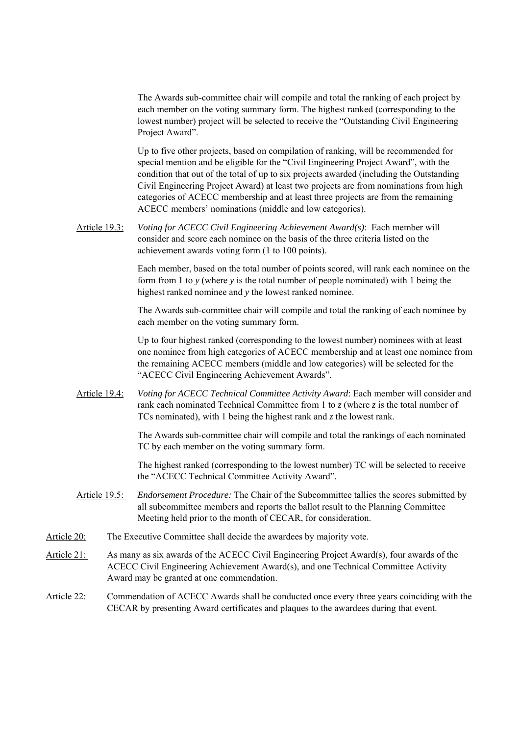The Awards sub-committee chair will compile and total the ranking of each project by each member on the voting summary form. The highest ranked (corresponding to the lowest number) project will be selected to receive the "Outstanding Civil Engineering Project Award".

Up to five other projects, based on compilation of ranking, will be recommended for special mention and be eligible for the "Civil Engineering Project Award", with the condition that out of the total of up to six projects awarded (including the Outstanding Civil Engineering Project Award) at least two projects are from nominations from high categories of ACECC membership and at least three projects are from the remaining ACECC members' nominations (middle and low categories).

Article 19.3: *Voting for ACECC Civil Engineering Achievement Award(s)*: Each member will consider and score each nominee on the basis of the three criteria listed on the achievement awards voting form (1 to 100 points).

> Each member, based on the total number of points scored, will rank each nominee on the form from 1 to *y* (where *y* is the total number of people nominated) with 1 being the highest ranked nominee and *y* the lowest ranked nominee.

> The Awards sub-committee chair will compile and total the ranking of each nominee by each member on the voting summary form.

Up to four highest ranked (corresponding to the lowest number) nominees with at least one nominee from high categories of ACECC membership and at least one nominee from the remaining ACECC members (middle and low categories) will be selected for the "ACECC Civil Engineering Achievement Awards".

Article 19.4: *Voting for ACECC Technical Committee Activity Award*: Each member will consider and rank each nominated Technical Committee from 1 to *z* (where *z* is the total number of TCs nominated), with 1 being the highest rank and *z* the lowest rank.

> The Awards sub-committee chair will compile and total the rankings of each nominated TC by each member on the voting summary form.

> The highest ranked (corresponding to the lowest number) TC will be selected to receive the "ACECC Technical Committee Activity Award".

- Article 19.5: *Endorsement Procedure:* The Chair of the Subcommittee tallies the scores submitted by all subcommittee members and reports the ballot result to the Planning Committee Meeting held prior to the month of CECAR, for consideration.
- Article 20: The Executive Committee shall decide the awardees by majority vote.
- Article 21: As many as six awards of the ACECC Civil Engineering Project Award(s), four awards of the ACECC Civil Engineering Achievement Award(s), and one Technical Committee Activity Award may be granted at one commendation.
- Article 22: Commendation of ACECC Awards shall be conducted once every three years coinciding with the CECAR by presenting Award certificates and plaques to the awardees during that event.